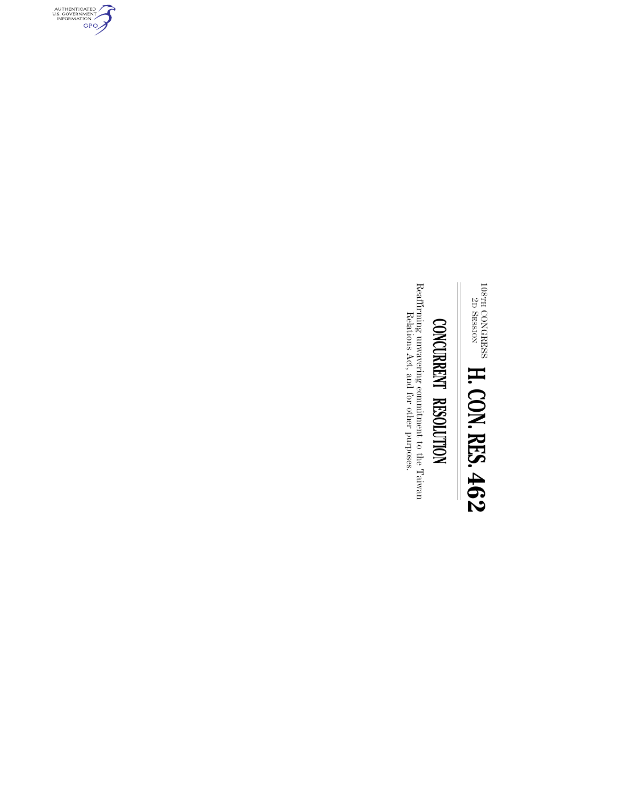$^{108}$ TH  $^{2D}$ CONGRESS SESSION **H. CON. RES. 462**

## CONCURRENT RESOLUTION **CONCURRENT RESOLUTION**

Reaffirming unwavering commitment to the Taiwan  $\,$  Relations  $\,\mathrm{Act},$  and for other purposes. Reaffirming unwavering commitment to the Taiwan Relations Act, and for other purposes.

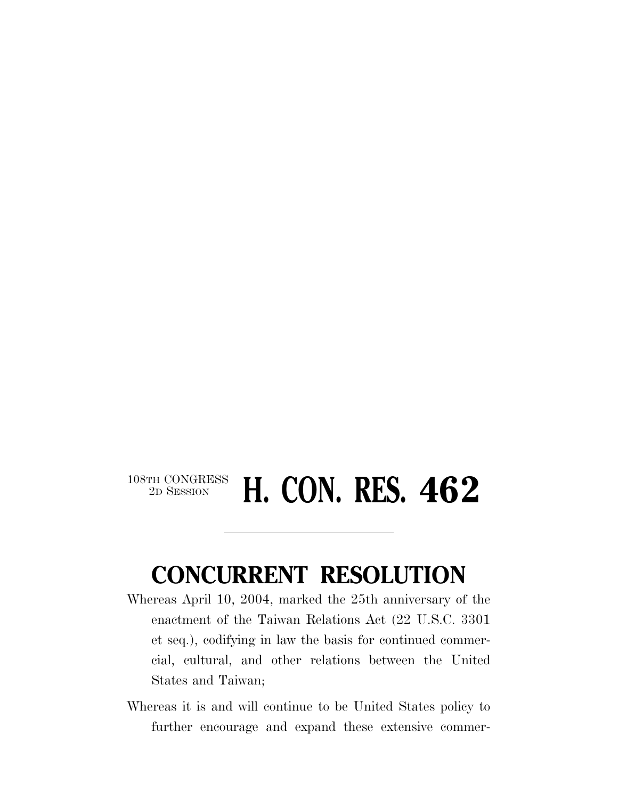## 108TH CONGRESS<br>2D SESSION **H. CON. RES. 462**

## **CONCURRENT RESOLUTION**

- Whereas April 10, 2004, marked the 25th anniversary of the enactment of the Taiwan Relations Act (22 U.S.C. 3301 et seq.), codifying in law the basis for continued commercial, cultural, and other relations between the United States and Taiwan;
- Whereas it is and will continue to be United States policy to further encourage and expand these extensive commer-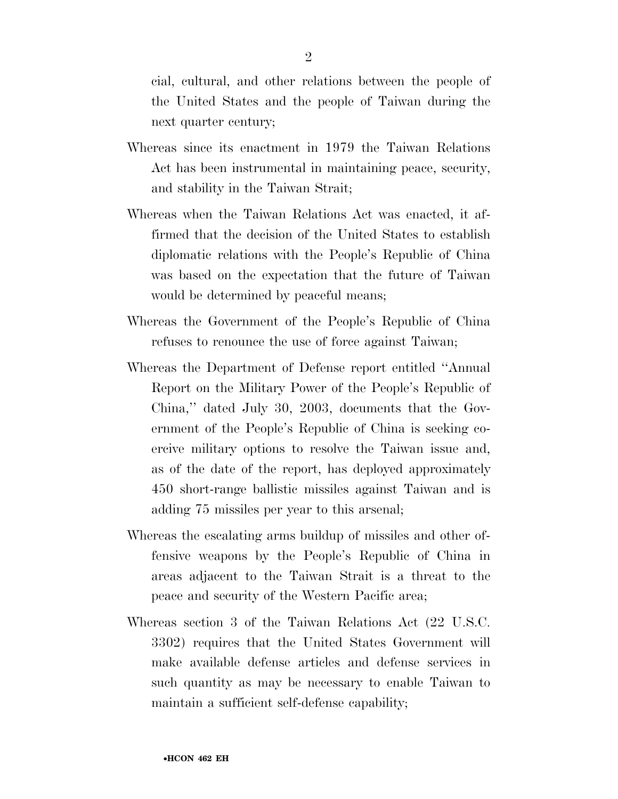cial, cultural, and other relations between the people of the United States and the people of Taiwan during the next quarter century;

- Whereas since its enactment in 1979 the Taiwan Relations Act has been instrumental in maintaining peace, security, and stability in the Taiwan Strait;
- Whereas when the Taiwan Relations Act was enacted, it affirmed that the decision of the United States to establish diplomatic relations with the People's Republic of China was based on the expectation that the future of Taiwan would be determined by peaceful means;
- Whereas the Government of the People's Republic of China refuses to renounce the use of force against Taiwan;
- Whereas the Department of Defense report entitled ''Annual Report on the Military Power of the People's Republic of China,'' dated July 30, 2003, documents that the Government of the People's Republic of China is seeking coercive military options to resolve the Taiwan issue and, as of the date of the report, has deployed approximately 450 short-range ballistic missiles against Taiwan and is adding 75 missiles per year to this arsenal;
- Whereas the escalating arms buildup of missiles and other offensive weapons by the People's Republic of China in areas adjacent to the Taiwan Strait is a threat to the peace and security of the Western Pacific area;
- Whereas section 3 of the Taiwan Relations Act (22 U.S.C. 3302) requires that the United States Government will make available defense articles and defense services in such quantity as may be necessary to enable Taiwan to maintain a sufficient self-defense capability;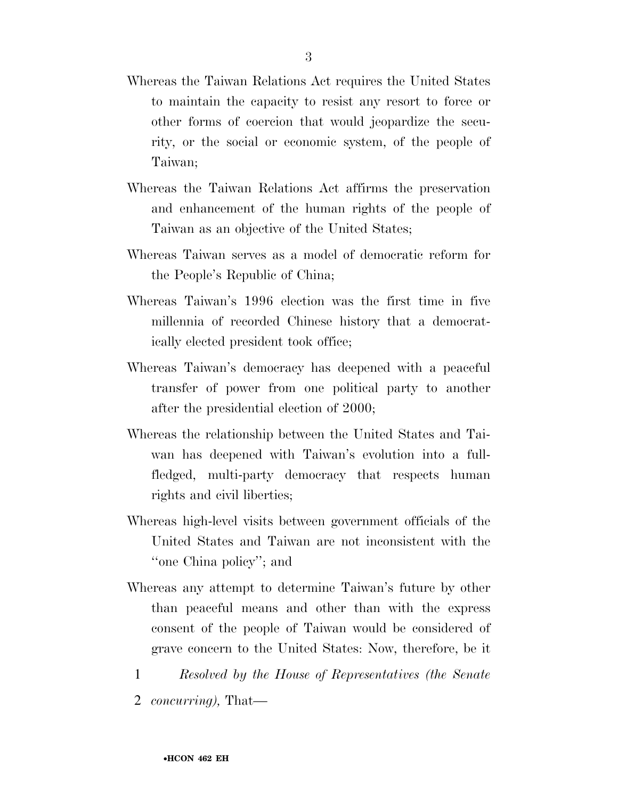- Whereas the Taiwan Relations Act requires the United States to maintain the capacity to resist any resort to force or other forms of coercion that would jeopardize the security, or the social or economic system, of the people of Taiwan;
- Whereas the Taiwan Relations Act affirms the preservation and enhancement of the human rights of the people of Taiwan as an objective of the United States;
- Whereas Taiwan serves as a model of democratic reform for the People's Republic of China;
- Whereas Taiwan's 1996 election was the first time in five millennia of recorded Chinese history that a democratically elected president took office;
- Whereas Taiwan's democracy has deepened with a peaceful transfer of power from one political party to another after the presidential election of 2000;
- Whereas the relationship between the United States and Taiwan has deepened with Taiwan's evolution into a fullfledged, multi-party democracy that respects human rights and civil liberties;
- Whereas high-level visits between government officials of the United States and Taiwan are not inconsistent with the ''one China policy''; and
- Whereas any attempt to determine Taiwan's future by other than peaceful means and other than with the express consent of the people of Taiwan would be considered of grave concern to the United States: Now, therefore, be it
	- 1 *Resolved by the House of Representatives (the Senate*
	- 2 *concurring),* That—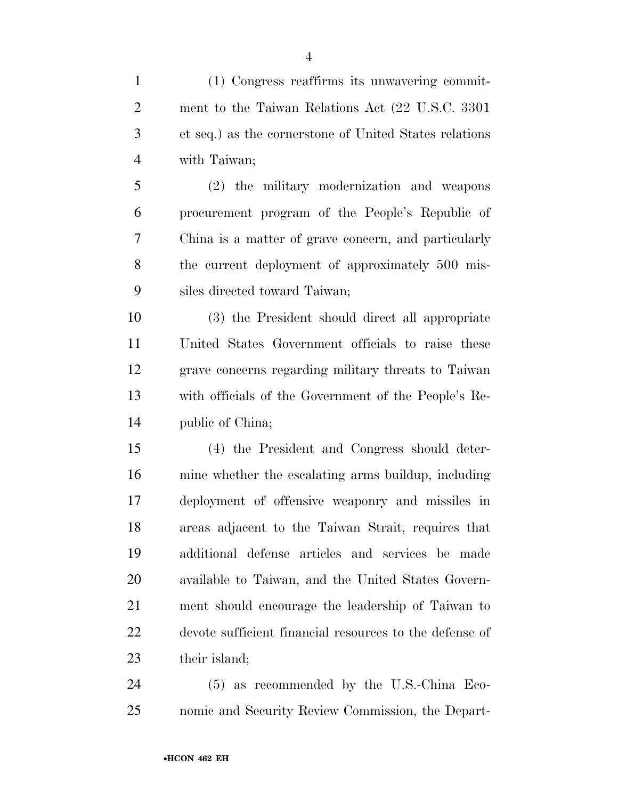(1) Congress reaffirms its unwavering commit- ment to the Taiwan Relations Act (22 U.S.C. 3301 et seq.) as the cornerstone of United States relations with Taiwan;

 (2) the military modernization and weapons procurement program of the People's Republic of China is a matter of grave concern, and particularly the current deployment of approximately 500 mis-siles directed toward Taiwan;

 (3) the President should direct all appropriate United States Government officials to raise these grave concerns regarding military threats to Taiwan with officials of the Government of the People's Re-public of China;

 (4) the President and Congress should deter- mine whether the escalating arms buildup, including deployment of offensive weaponry and missiles in areas adjacent to the Taiwan Strait, requires that additional defense articles and services be made available to Taiwan, and the United States Govern- ment should encourage the leadership of Taiwan to devote sufficient financial resources to the defense of their island;

 (5) as recommended by the U.S.-China Eco-nomic and Security Review Commission, the Depart-